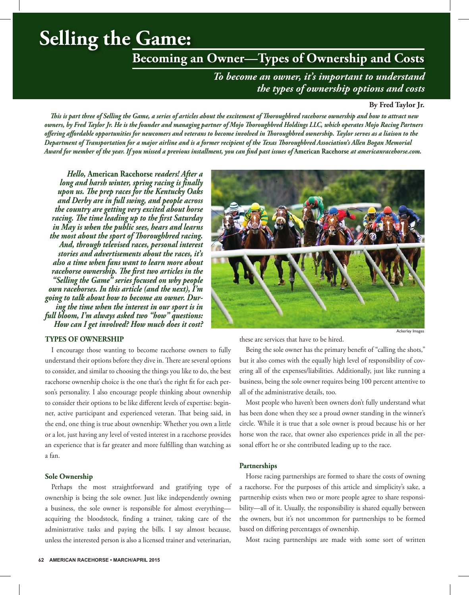# **Selling the Game:**

# **Becoming an Owner—Types of Ownership and Costs**

*To become an owner, it's important to understand the types of ownership options and costs*

#### **By Fred Taylor Jr.**

*This is part three of Selling the Game, a series of articles about the excitement of Thoroughbred racehorse ownership and how to attract new owners, by Fred Taylor Jr. He is the founder and managing partner of Mojo Thoroughbred Holdings LLC, which operates Mojo Racing Partners offering affordable opportunities for newcomers and veterans to become involved in Thoroughbred ownership. Taylor serves as a liaison to the Department of Transportation for a major airline and is a former recipient of the Texas Thoroughbred Association's Allen Bogan Memorial Award for member of the year. If you missed a previous installment, you can find past issues of* **American Racehorse** *at americanracehorse.com.*

*Hello,* **American Racehorse** *readers! After a long and harsh winter, spring racing is finally upon us. The prep races for the Kentucky Oaks and Derby are in full swing, and people across the country are getting very excited about horse racing. The time leading up to the first Saturday in May is when the public sees, hears and learns the most about the sport of Thoroughbred racing. And, through televised races, personal interest stories and advertisements about the races, it's also a time when fans want to learn more about racehorse ownership. The first two articles in the "Selling the Game" series focused on why people own racehorses. In this article (and the next), I'm going to talk about how to become an owner. During the time when the interest in our sport is in full bloom, I'm always asked two "how" questions: How can I get involved? How much does it cost?*

# **TYPES OF OWNERSHIP**

I encourage those wanting to become racehorse owners to fully understand their options before they dive in. There are several options to consider, and similar to choosing the things you like to do, the best racehorse ownership choice is the one that's the right fit for each person's personality. I also encourage people thinking about ownership to consider their options to be like different levels of expertise: beginner, active participant and experienced veteran. That being said, in the end, one thing is true about ownership: Whether you own a little or a lot, just having any level of vested interest in a racehorse provides an experience that is far greater and more fulfilling than watching as a fan.

#### **Sole Ownership**

Perhaps the most straightforward and gratifying type of ownership is being the sole owner. Just like independently owning a business, the sole owner is responsible for almost everything acquiring the bloodstock, finding a trainer, taking care of the administrative tasks and paying the bills. I say almost because, unless the interested person is also a licensed trainer and veterinarian,



these are services that have to be hired.

Being the sole owner has the primary benefit of "calling the shots," but it also comes with the equally high level of responsibility of covering all of the expenses/liabilities. Additionally, just like running a business, being the sole owner requires being 100 percent attentive to all of the administrative details, too.

Most people who haven't been owners don't fully understand what has been done when they see a proud owner standing in the winner's circle. While it is true that a sole owner is proud because his or her horse won the race, that owner also experiences pride in all the personal effort he or she contributed leading up to the race.

## **Partnerships**

Horse racing partnerships are formed to share the costs of owning a racehorse. For the purposes of this article and simplicity's sake, a partnership exists when two or more people agree to share responsibility—all of it. Usually, the responsibility is shared equally between the owners, but it's not uncommon for partnerships to be formed based on differing percentages of ownership.

Most racing partnerships are made with some sort of written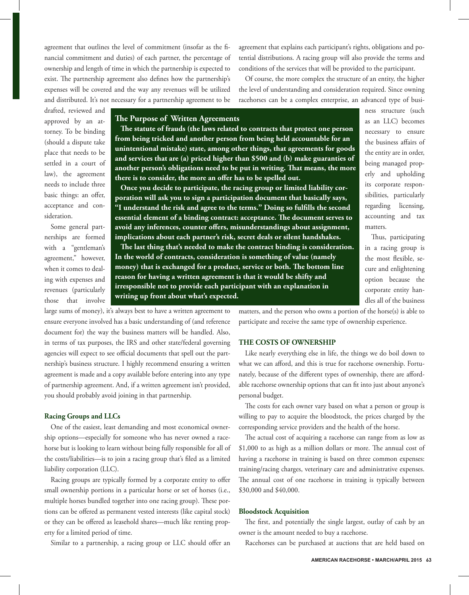agreement that outlines the level of commitment (insofar as the financial commitment and duties) of each partner, the percentage of ownership and length of time in which the partnership is expected to exist. The partnership agreement also defines how the partnership's expenses will be covered and the way any revenues will be utilized and distributed. It's not necessary for a partnership agreement to be agreement that explains each participant's rights, obligations and potential distributions. A racing group will also provide the terms and conditions of the services that will be provided to the participant.

Of course, the more complex the structure of an entity, the higher the level of understanding and consideration required. Since owning racehorses can be a complex enterprise, an advanced type of busi-

drafted, reviewed and approved by an attorney. To be binding (should a dispute take place that needs to be settled in a court of law), the agreement needs to include three basic things: an offer, acceptance and consideration.

Some general partnerships are formed with a "gentleman's agreement," however, when it comes to dealing with expenses and revenues (particularly those that involve

# **The Purpose of Written Agreements**

**The statute of frauds (the laws related to contracts that protect one person from being tricked and another person from being held accountable for an unintentional mistake) state, among other things, that agreements for goods and services that are (a) priced higher than \$500 and (b) make guaranties of another person's obligations need to be put in writing. That means, the more there is to consider, the more an offer has to be spelled out.**

**Once you decide to participate, the racing group or limited liability corporation will ask you to sign a participation document that basically says, "I understand the risk and agree to the terms." Doing so fulfills the second essential element of a binding contract: acceptance. The document serves to avoid any inferences, counter offers, misunderstandings about assignment, implications about each partner's risk, secret deals or silent handshakes.**

**The last thing that's needed to make the contract binding is consideration. In the world of contracts, consideration is something of value (namely money) that is exchanged for a product, service or both. The bottom line reason for having a written agreement is that it would be shifty and irresponsible not to provide each participant with an explanation in writing up front about what's expected.**

large sums of money), it's always best to have a written agreement to ensure everyone involved has a basic understanding of (and reference document for) the way the business matters will be handled. Also, in terms of tax purposes, the IRS and other state/federal governing agencies will expect to see official documents that spell out the partnership's business structure. I highly recommend ensuring a written agreement is made and a copy available before entering into any type of partnership agreement. And, if a written agreement isn't provided, you should probably avoid joining in that partnership.

#### **Racing Groups and LLCs**

One of the easiest, least demanding and most economical ownership options—especially for someone who has never owned a racehorse but is looking to learn without being fully responsible for all of the costs/liabilities—is to join a racing group that's filed as a limited liability corporation (LLC).

Racing groups are typically formed by a corporate entity to offer small ownership portions in a particular horse or set of horses (i.e., multiple horses bundled together into one racing group). These portions can be offered as permanent vested interests (like capital stock) or they can be offered as leasehold shares—much like renting property for a limited period of time.

Similar to a partnership, a racing group or LLC should offer an

matters, and the person who owns a portion of the horse(s) is able to participate and receive the same type of ownership experience.

#### **THE COSTS OF OWNERSHIP**

Like nearly everything else in life, the things we do boil down to what we can afford, and this is true for racehorse ownership. Fortunately, because of the different types of ownership, there are affordable racehorse ownership options that can fit into just about anyone's personal budget.

The costs for each owner vary based on what a person or group is willing to pay to acquire the bloodstock, the prices charged by the corresponding service providers and the health of the horse.

The actual cost of acquiring a racehorse can range from as low as \$1,000 to as high as a million dollars or more. The annual cost of having a racehorse in training is based on three common expenses: training/racing charges, veterinary care and administrative expenses. The annual cost of one racehorse in training is typically between \$30,000 and \$40,000.

# **Bloodstock Acquisition**

The first, and potentially the single largest, outlay of cash by an owner is the amount needed to buy a racehorse.

Racehorses can be purchased at auctions that are held based on

ness structure (such as an LLC) becomes necessary to ensure the business affairs of the entity are in order, being managed properly and upholding its corporate responsibilities, particularly regarding licensing, accounting and tax matters.

Thus, participating in a racing group is the most flexible, secure and enlightening option because the corporate entity handles all of the business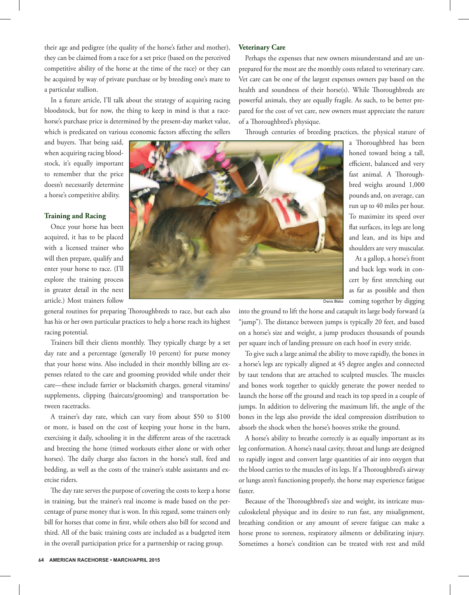their age and pedigree (the quality of the horse's father and mother), they can be claimed from a race for a set price (based on the perceived competitive ability of the horse at the time of the race) or they can be acquired by way of private purchase or by breeding one's mare to a particular stallion.

In a future article, I'll talk about the strategy of acquiring racing bloodstock, but for now, the thing to keep in mind is that a racehorse's purchase price is determined by the present-day market value, which is predicated on various economic factors affecting the sellers

and buyers. That being said, when acquiring racing bloodstock, it's equally important to remember that the price doesn't necessarily determine a horse's competitive ability.

# **Training and Racing**

Once your horse has been acquired, it has to be placed with a licensed trainer who will then prepare, qualify and enter your horse to race. (I'll explore the training process in greater detail in the next article.) Most trainers follow



general routines for preparing Thoroughbreds to race, but each also has his or her own particular practices to help a horse reach its highest racing potential.

Trainers bill their clients monthly. They typically charge by a set day rate and a percentage (generally 10 percent) for purse money that your horse wins. Also included in their monthly billing are expenses related to the care and grooming provided while under their care—these include farrier or blacksmith charges, general vitamins/ supplements, clipping (haircuts/grooming) and transportation between racetracks.

A trainer's day rate, which can vary from about \$50 to \$100 or more, is based on the cost of keeping your horse in the barn, exercising it daily, schooling it in the different areas of the racetrack and breezing the horse (timed workouts either alone or with other horses). The daily charge also factors in the horse's stall, feed and bedding, as well as the costs of the trainer's stable assistants and exercise riders.

The day rate serves the purpose of covering the costs to keep a horse in training, but the trainer's real income is made based on the percentage of purse money that is won. In this regard, some trainers only bill for horses that come in first, while others also bill for second and third. All of the basic training costs are included as a budgeted item in the overall participation price for a partnership or racing group.

## **Veterinary Care**

Perhaps the expenses that new owners misunderstand and are unprepared for the most are the monthly costs related to veterinary care. Vet care can be one of the largest expenses owners pay based on the health and soundness of their horse(s). While Thoroughbreds are powerful animals, they are equally fragile. As such, to be better prepared for the cost of vet care, new owners must appreciate the nature of a Thoroughbred's physique.

Through centuries of breeding practices, the physical stature of

a Thoroughbred has been honed toward being a tall, efficient, balanced and very fast animal. A Thoroughbred weighs around 1,000 pounds and, on average, can run up to 40 miles per hour. To maximize its speed over flat surfaces, its legs are long and lean, and its hips and shoulders are very muscular.

At a gallop, a horse's front and back legs work in concert by first stretching out as far as possible and then coming together by digging

into the ground to lift the horse and catapult its large body forward (a "jump"). The distance between jumps is typically 20 feet, and based on a horse's size and weight, a jump produces thousands of pounds per square inch of landing pressure on each hoof in every stride.

To give such a large animal the ability to move rapidly, the bones in a horse's legs are typically aligned at 45 degree angles and connected by taut tendons that are attached to sculpted muscles. The muscles and bones work together to quickly generate the power needed to launch the horse off the ground and reach its top speed in a couple of jumps. In addition to delivering the maximum lift, the angle of the bones in the legs also provide the ideal compression distribution to absorb the shock when the horse's hooves strike the ground.

A horse's ability to breathe correctly is as equally important as its leg conformation. A horse's nasal cavity, throat and lungs are designed to rapidly ingest and convert large quantities of air into oxygen that the blood carries to the muscles of its legs. If a Thoroughbred's airway or lungs aren't functioning properly, the horse may experience fatigue faster.

Because of the Thoroughbred's size and weight, its intricate musculoskeletal physique and its desire to run fast, any misalignment, breathing condition or any amount of severe fatigue can make a horse prone to soreness, respiratory ailments or debilitating injury. Sometimes a horse's condition can be treated with rest and mild